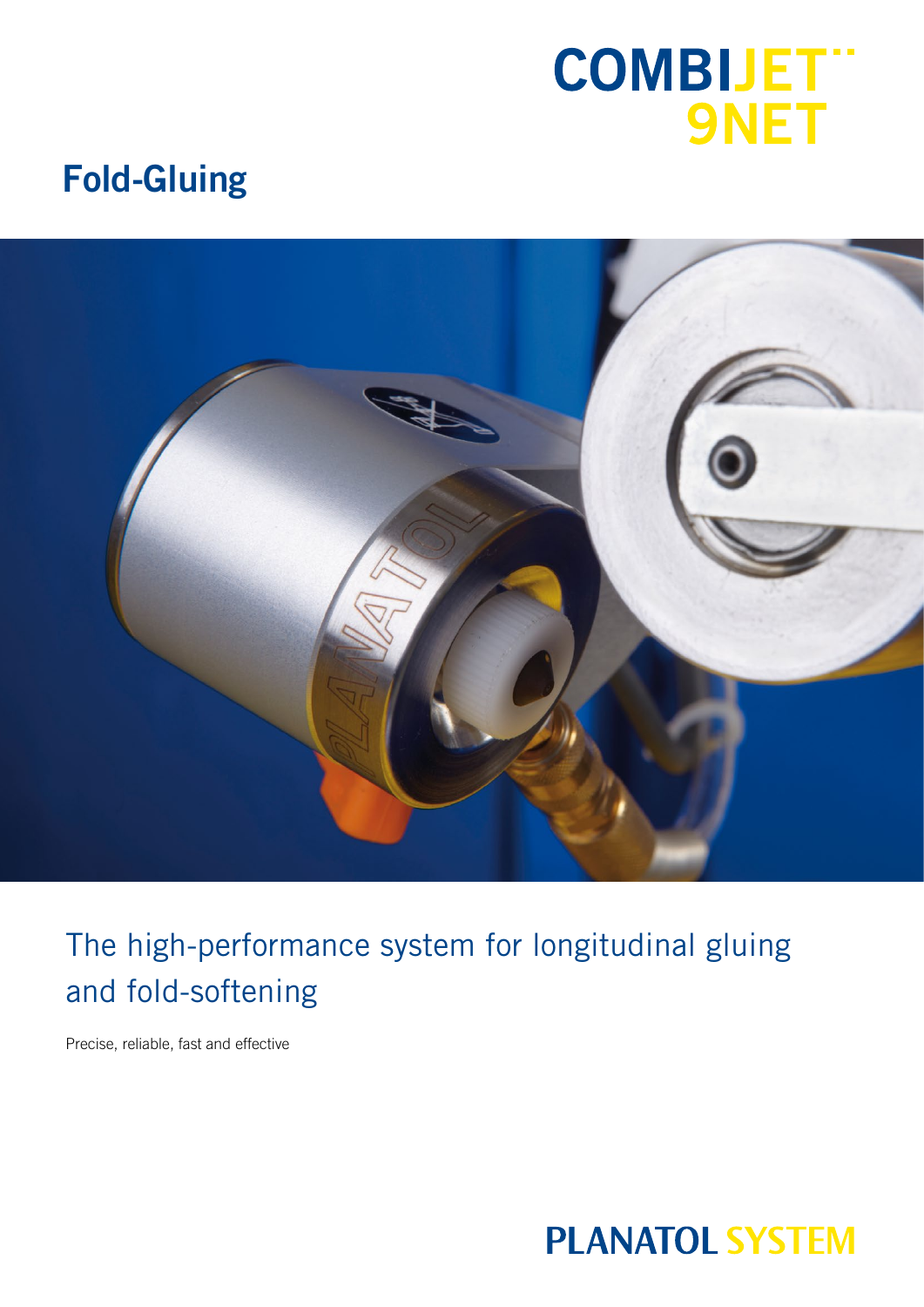# **COMBIJET"**<br>9NET

## **Fold-Gluing**



## The high-performance system for longitudinal gluing and fold-softening

Precise, reliable, fast and effective

## **PLANATOL SYSTEM**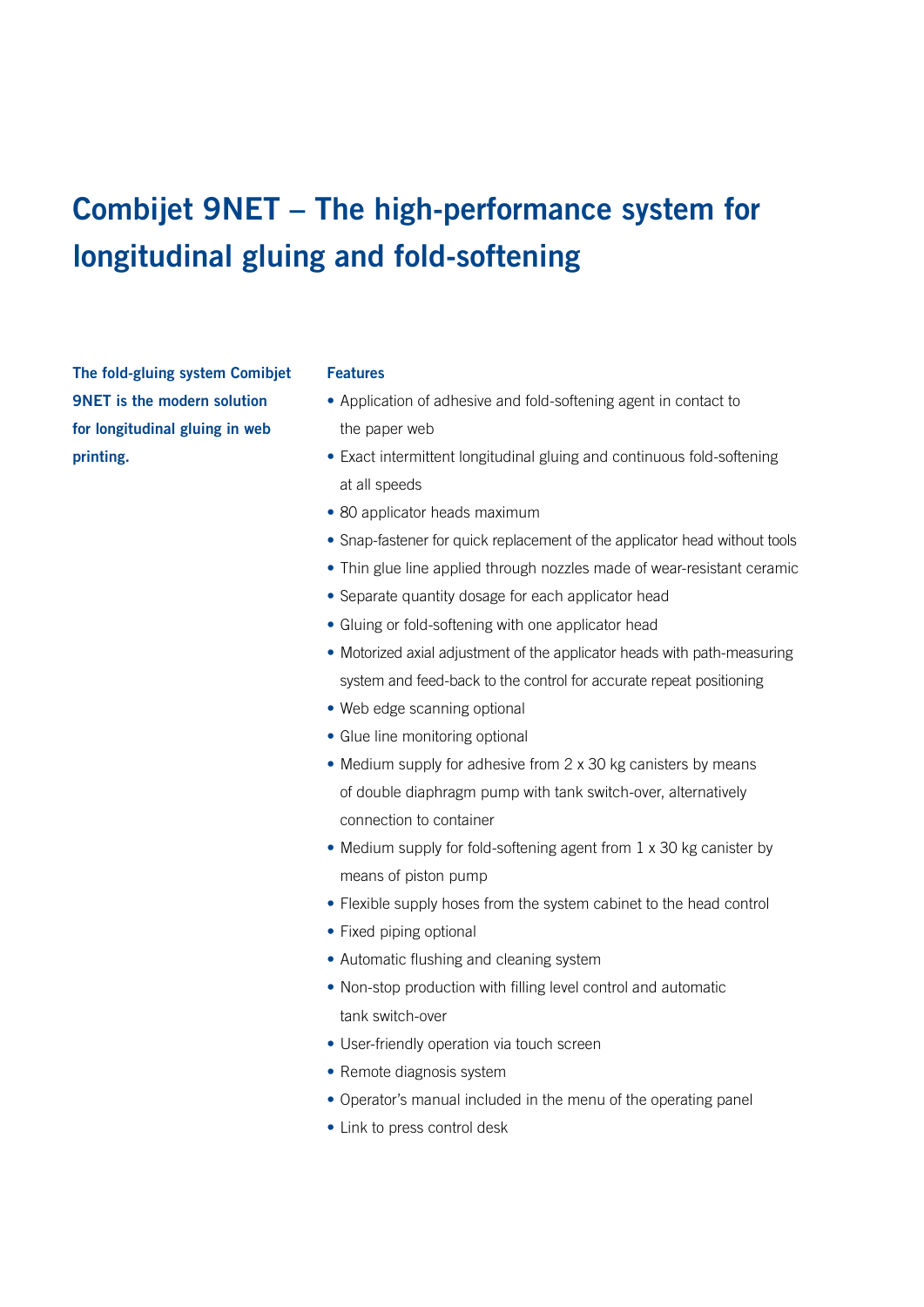## **Combijet 9NET – The high-performance system for longitudinal gluing and fold-softening**

**The fold-gluing system Comibjet 9NET is the modern solution for longitudinal gluing in web printing.** 

#### **Features**

- **•** Application of adhesive and fold-softening agent in contact to the paper web
- **•** Exact intermittent longitudinal gluing and continuous fold-softening at all speeds
- **•** 80 applicator heads maximum
- **•** Snap-fastener for quick replacement of the applicator head without tools
- **•** Thin glue line applied through nozzles made of wear-resistant ceramic
- **•** Separate quantity dosage for each applicator head
- **•** Gluing or fold-softening with one applicator head
- **•** Motorized axial adjustment of the applicator heads with path-measuring system and feed-back to the control for accurate repeat positioning
- Web edge scanning optional
- **•** Glue line monitoring optional
- **•** Medium supply for adhesive from 2 x 30 kg canisters by means of double diaphragm pump with tank switch-over, alternatively connection to container
- Medium supply for fold-softening agent from 1 x 30 kg canister by means of piston pump
- **•** Flexible supply hoses from the system cabinet to the head control
- **•** Fixed piping optional
- **•** Automatic flushing and cleaning system
- **•** Non-stop production with filling level control and automatic tank switch-over
- **•** User-friendly operation via touch screen
- **•** Remote diagnosis system
- **•** Operator's manual included in the menu of the operating panel
- **•** Link to press control desk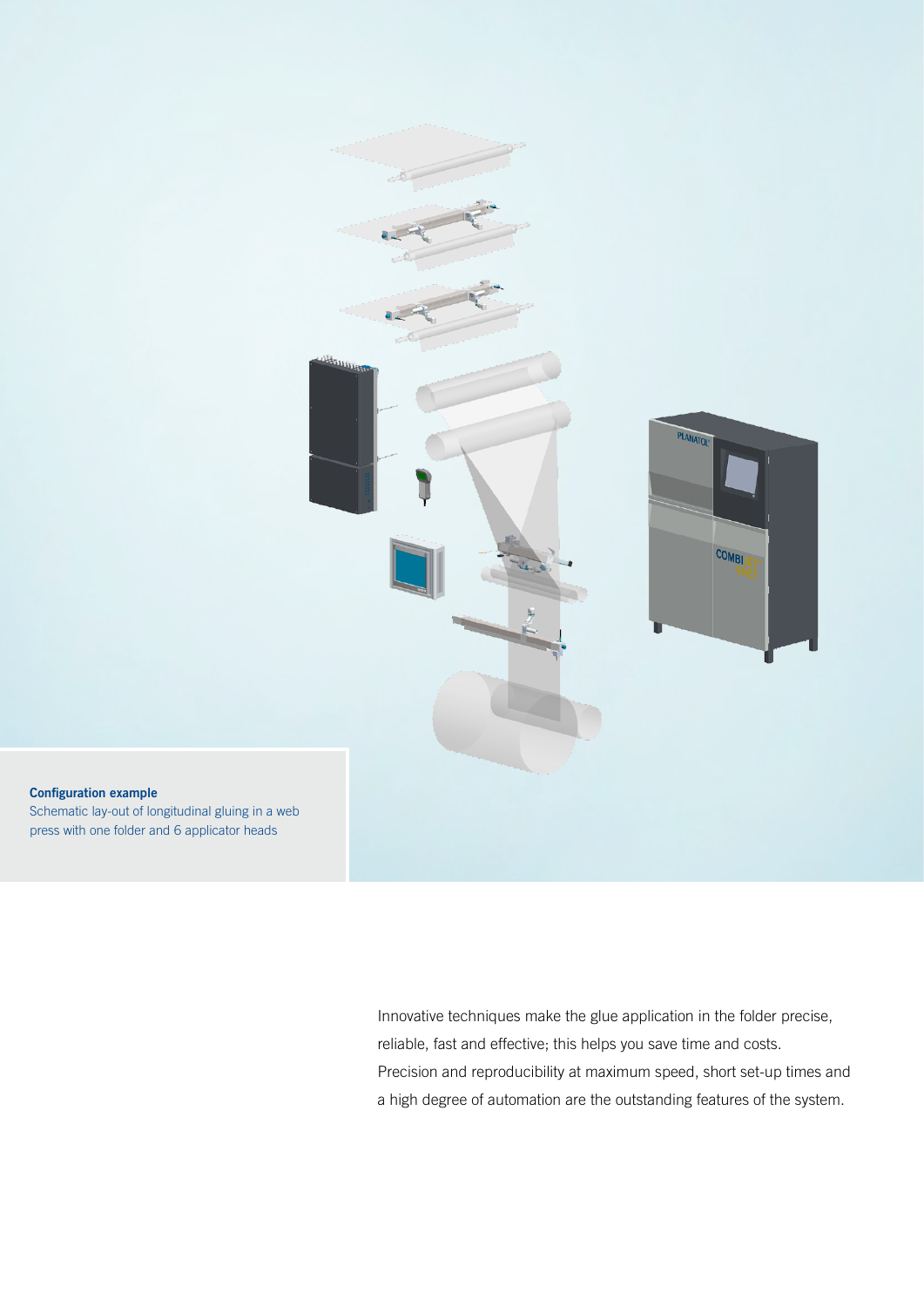

**Configuration example** Schematic lay-out of longitudinal gluing in a web press with one folder and 6 applicator heads

> Innovative techniques make the glue application in the folder precise, reliable, fast and effective; this helps you save time and costs. Precision and reproducibility at maximum speed, short set-up times and a high degree of automation are the outstanding features of the system.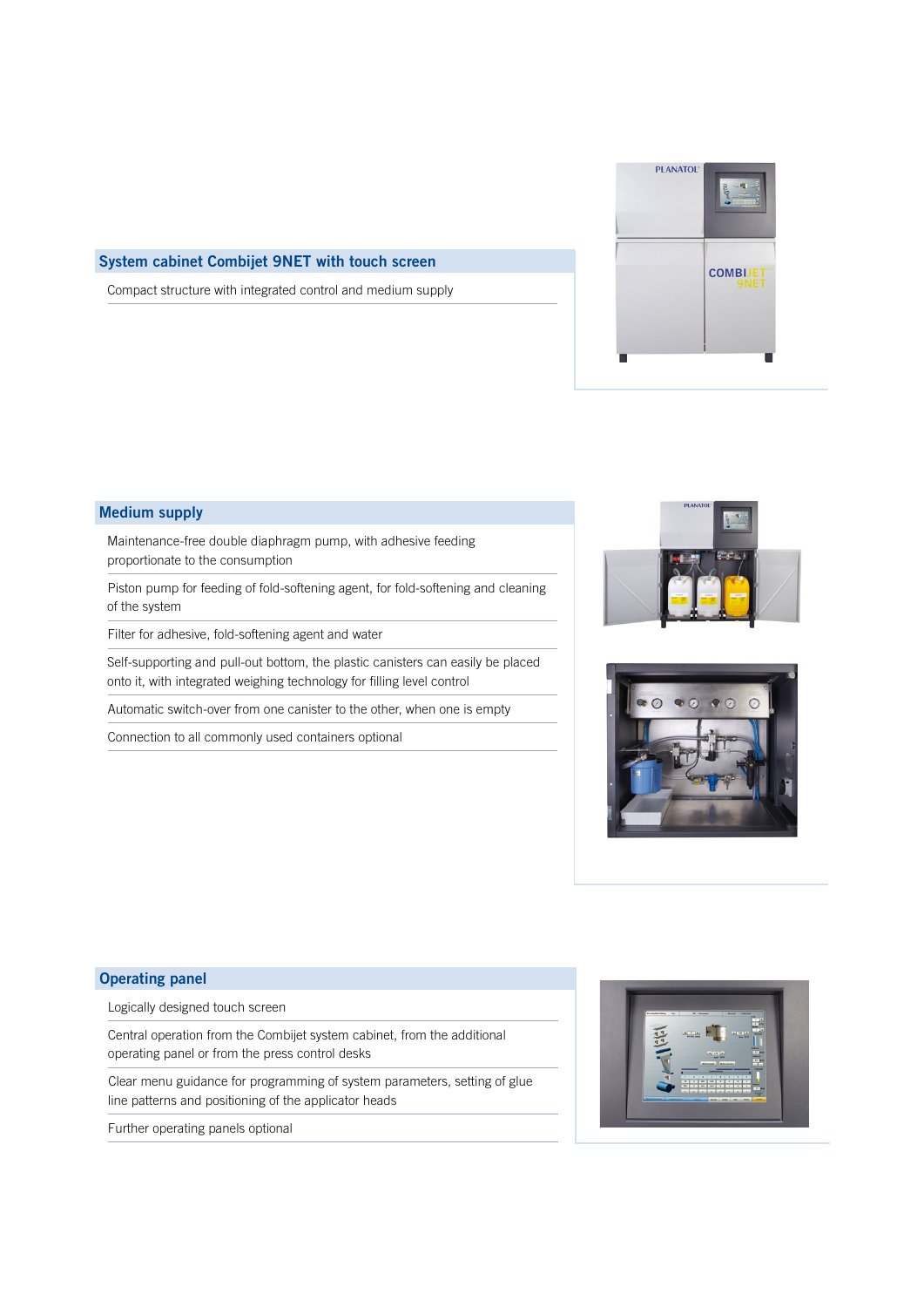

#### **System cabinet Combijet 9NET with touch screen**

Compact structure with integrated control and medium supply

#### **Medium supply**

Maintenance-free double diaphragm pump, with adhesive feeding proportionate to the consumption

Piston pump for feeding of fold-softening agent, for fold-softening and cleaning of the system

Filter for adhesive, fold-softening agent and water

Self-supporting and pull-out bottom, the plastic canisters can easily be placed onto it, with integrated weighing technology for filling level control

Automatic switch-over from one canister to the other, when one is empty

Connection to all commonly used containers optional





#### **Operating panel**

Logically designed touch screen

Central operation from the Combijet system cabinet, from the additional operating panel or from the press control desks

Clear menu guidance for programming of system parameters, setting of glue line patterns and positioning of the applicator heads

Further operating panels optional

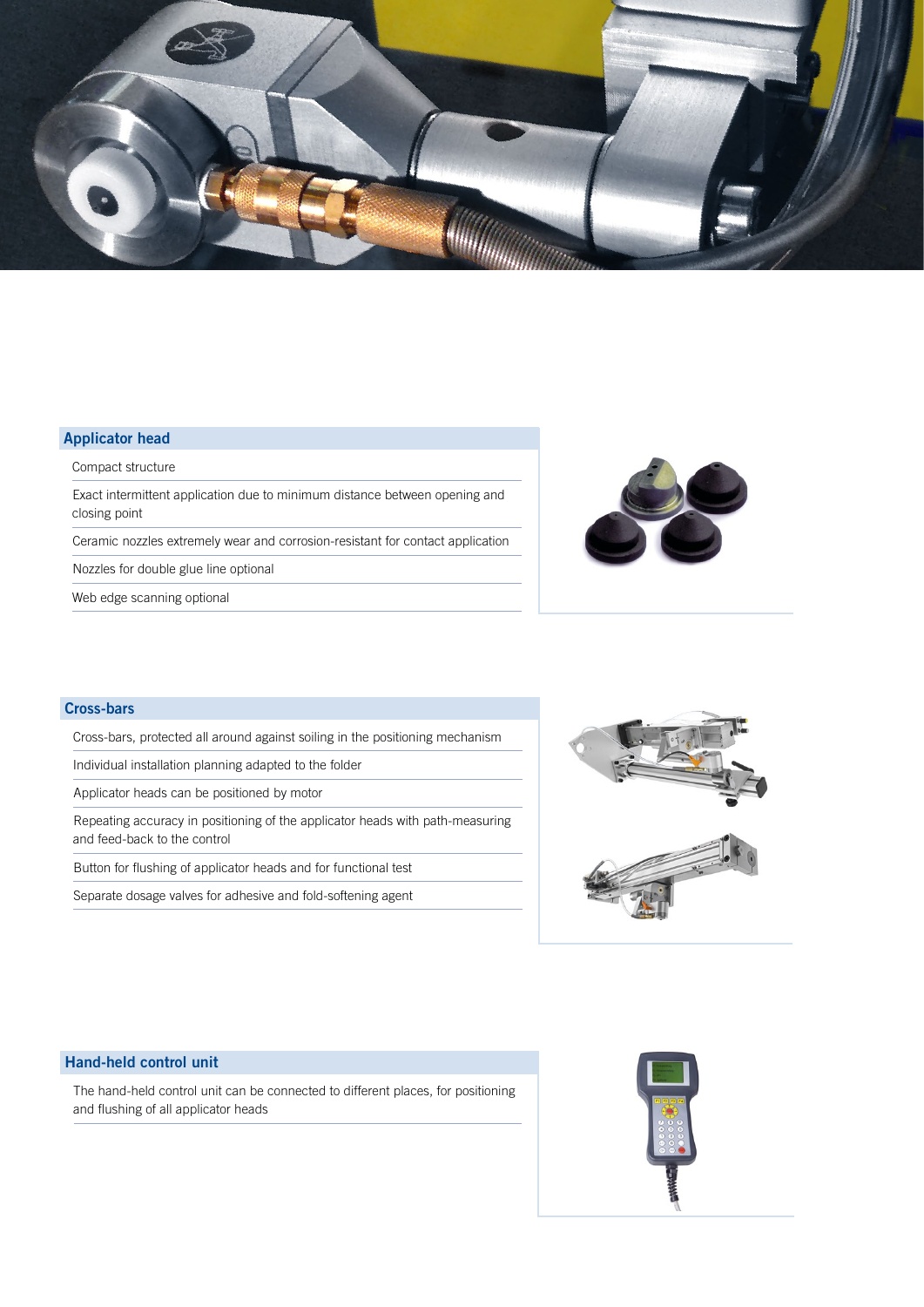

### **Applicator head**

Compact structure

Exact intermittent application due to minimum distance between opening and closing point

Ceramic nozzles extremely wear and corrosion-resistant for contact application

Nozzles for double glue line optional

Web edge scanning optional



#### **Cross-bars**

Cross-bars, protected all around against soiling in the positioning mechanism

Individual installation planning adapted to the folder

Applicator heads can be positioned by motor

Repeating accuracy in positioning of the applicator heads with path-measuring and feed-back to the control

Button for flushing of applicator heads and for functional test

Separate dosage valves for adhesive and fold-softening agent



#### **Hand-held control unit**

The hand-held control unit can be connected to different places, for positioning and flushing of all applicator heads